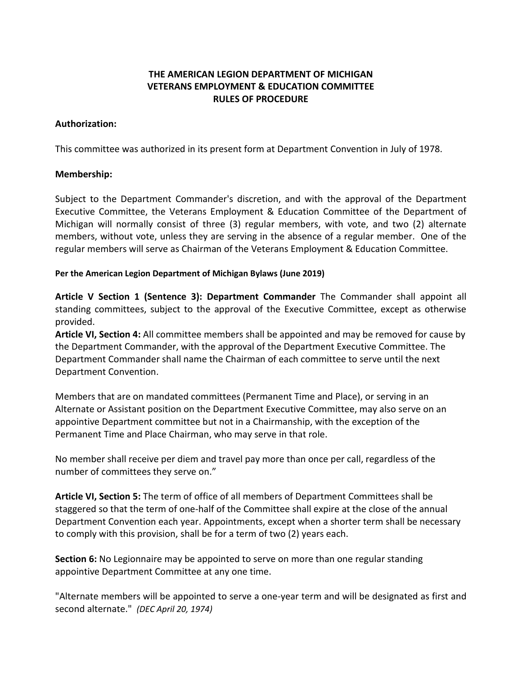# **THE AMERICAN LEGION DEPARTMENT OF MICHIGAN VETERANS EMPLOYMENT & EDUCATION COMMITTEE RULES OF PROCEDURE**

### **Authorization:**

This committee was authorized in its present form at Department Convention in July of 1978.

### **Membership:**

Subject to the Department Commander's discretion, and with the approval of the Department Executive Committee, the Veterans Employment & Education Committee of the Department of Michigan will normally consist of three (3) regular members, with vote, and two (2) alternate members, without vote, unless they are serving in the absence of a regular member. One of the regular members will serve as Chairman of the Veterans Employment & Education Committee.

#### **Per the American Legion Department of Michigan Bylaws (June 2019)**

**Article V Section 1 (Sentence 3): Department Commander** The Commander shall appoint all standing committees, subject to the approval of the Executive Committee, except as otherwise provided.

**Article VI, Section 4:** All committee members shall be appointed and may be removed for cause by the Department Commander, with the approval of the Department Executive Committee. The Department Commander shall name the Chairman of each committee to serve until the next Department Convention.

Members that are on mandated committees (Permanent Time and Place), or serving in an Alternate or Assistant position on the Department Executive Committee, may also serve on an appointive Department committee but not in a Chairmanship, with the exception of the Permanent Time and Place Chairman, who may serve in that role.

No member shall receive per diem and travel pay more than once per call, regardless of the number of committees they serve on."

**Article VI, Section 5:** The term of office of all members of Department Committees shall be staggered so that the term of one-half of the Committee shall expire at the close of the annual Department Convention each year. Appointments, except when a shorter term shall be necessary to comply with this provision, shall be for a term of two (2) years each.

**Section 6:** No Legionnaire may be appointed to serve on more than one regular standing appointive Department Committee at any one time.

"Alternate members will be appointed to serve a one-year term and will be designated as first and second alternate." *(DEC April 20, 1974)*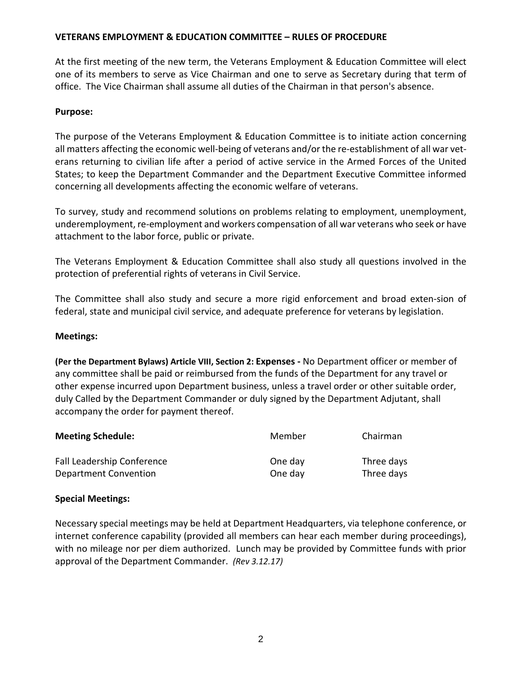At the first meeting of the new term, the Veterans Employment & Education Committee will elect one of its members to serve as Vice Chairman and one to serve as Secretary during that term of office. The Vice Chairman shall assume all duties of the Chairman in that person's absence.

## **Purpose:**

The purpose of the Veterans Employment & Education Committee is to initiate action concerning all matters affecting the economic well-being of veterans and/or the re-establishment of all war veterans returning to civilian life after a period of active service in the Armed Forces of the United States; to keep the Department Commander and the Department Executive Committee informed concerning all developments affecting the economic welfare of veterans.

To survey, study and recommend solutions on problems relating to employment, unemployment, underemployment, re-employment and workers compensation of all war veterans who seek or have attachment to the labor force, public or private.

The Veterans Employment & Education Committee shall also study all questions involved in the protection of preferential rights of veterans in Civil Service.

The Committee shall also study and secure a more rigid enforcement and broad exten-sion of federal, state and municipal civil service, and adequate preference for veterans by legislation.

#### **Meetings:**

**(Per the Department Bylaws) Article VIII, Section 2: Expenses -** No Department officer or member of any committee shall be paid or reimbursed from the funds of the Department for any travel or other expense incurred upon Department business, unless a travel order or other suitable order, duly Called by the Department Commander or duly signed by the Department Adjutant, shall accompany the order for payment thereof.

| <b>Meeting Schedule:</b>          | Member  | Chairman   |
|-----------------------------------|---------|------------|
| <b>Fall Leadership Conference</b> | One day | Three days |
| Department Convention             | One day | Three days |

#### **Special Meetings:**

Necessary special meetings may be held at Department Headquarters, via telephone conference, or internet conference capability (provided all members can hear each member during proceedings), with no mileage nor per diem authorized. Lunch may be provided by Committee funds with prior approval of the Department Commander. *(Rev 3.12.17)*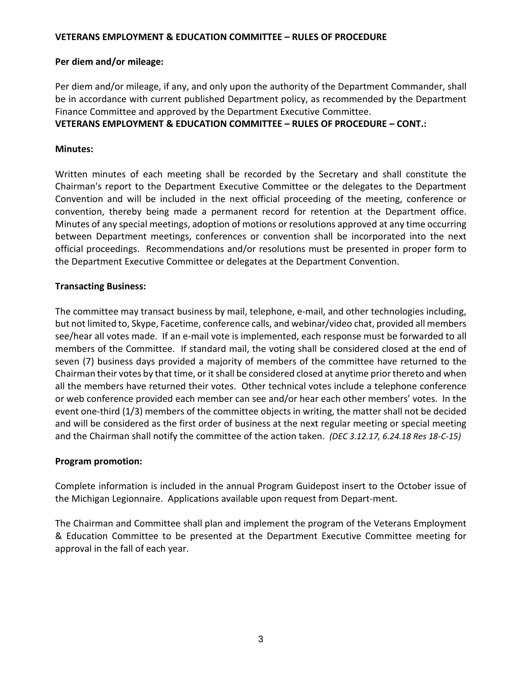### **Per diem and/or mileage:**

Per diem and/or mileage, if any, and only upon the authority of the Department Commander, shall be in accordance with current published Department policy, as recommended by the Department Finance Committee and approved by the Department Executive Committee.

## **VETERANS EMPLOYMENT & EDUCATION COMMITTEE – RULES OF PROCEDURE – CONT.:**

### **Minutes:**

Written minutes of each meeting shall be recorded by the Secretary and shall constitute the Chairman's report to the Department Executive Committee or the delegates to the Department Convention and will be included in the next official proceeding of the meeting, conference or convention, thereby being made a permanent record for retention at the Department office. Minutes of any special meetings, adoption of motions or resolutions approved at any time occurring between Department meetings, conferences or convention shall be incorporated into the next official proceedings. Recommendations and/or resolutions must be presented in proper form to the Department Executive Committee or delegates at the Department Convention.

### **Transacting Business:**

The committee may transact business by mail, telephone, e-mail, and other technologies including, but not limited to, Skype, Facetime, conference calls, and webinar/video chat, provided all members see/hear all votes made. If an e-mail vote is implemented, each response must be forwarded to all members of the Committee. If standard mail, the voting shall be considered closed at the end of seven (7) business days provided a majority of members of the committee have returned to the Chairman their votes by that time, or it shall be considered closed at anytime prior thereto and when all the members have returned their votes. Other technical votes include a telephone conference or web conference provided each member can see and/or hear each other members' votes. In the event one-third (1/3) members of the committee objects in writing, the matter shall not be decided and will be considered as the first order of business at the next regular meeting or special meeting and the Chairman shall notify the committee of the action taken. *(DEC 3.12.17, 6.24.18 Res 18-C-15)* 

#### **Program promotion:**

Complete information is included in the annual Program Guidepost insert to the October issue of the Michigan Legionnaire. Applications available upon request from Depart-ment.

The Chairman and Committee shall plan and implement the program of the Veterans Employment & Education Committee to be presented at the Department Executive Committee meeting for approval in the fall of each year.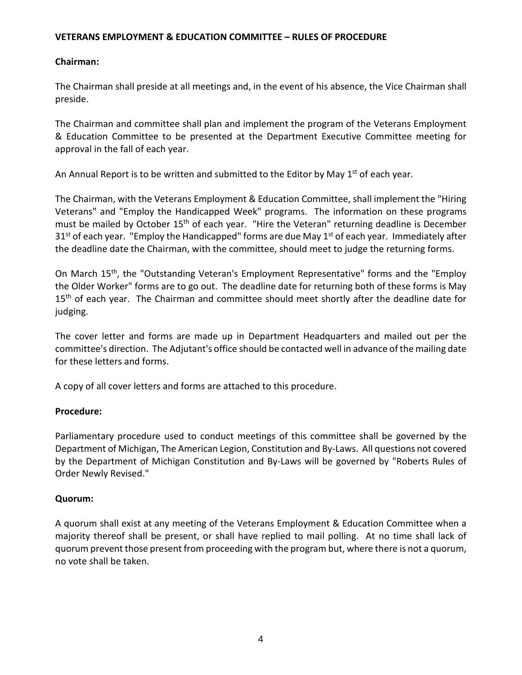## **Chairman:**

The Chairman shall preside at all meetings and, in the event of his absence, the Vice Chairman shall preside.

The Chairman and committee shall plan and implement the program of the Veterans Employment & Education Committee to be presented at the Department Executive Committee meeting for approval in the fall of each year.

An Annual Report is to be written and submitted to the Editor by May  $1<sup>st</sup>$  of each year.

The Chairman, with the Veterans Employment & Education Committee, shall implement the "Hiring Veterans" and "Employ the Handicapped Week" programs. The information on these programs must be mailed by October 15<sup>th</sup> of each year. "Hire the Veteran" returning deadline is December  $31<sup>st</sup>$  of each year. "Employ the Handicapped" forms are due May  $1<sup>st</sup>$  of each year. Immediately after the deadline date the Chairman, with the committee, should meet to judge the returning forms.

On March 15th, the "Outstanding Veteran's Employment Representative" forms and the "Employ the Older Worker" forms are to go out. The deadline date for returning both of these forms is May 15<sup>th</sup> of each year. The Chairman and committee should meet shortly after the deadline date for judging.

The cover letter and forms are made up in Department Headquarters and mailed out per the committee's direction. The Adjutant's office should be contacted well in advance of the mailing date for these letters and forms.

A copy of all cover letters and forms are attached to this procedure.

# **Procedure:**

Parliamentary procedure used to conduct meetings of this committee shall be governed by the Department of Michigan, The American Legion, Constitution and By-Laws. All questions not covered by the Department of Michigan Constitution and By-Laws will be governed by "Roberts Rules of Order Newly Revised."

# **Quorum:**

A quorum shall exist at any meeting of the Veterans Employment & Education Committee when a majority thereof shall be present, or shall have replied to mail polling. At no time shall lack of quorum prevent those present from proceeding with the program but, where there is not a quorum, no vote shall be taken.